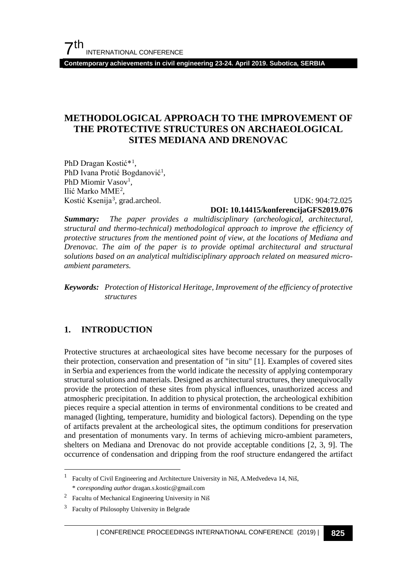**Contemporary achievements in civil engineering 23-24. April 2019. Subotica, SERBIA**

## **METHODOLOGICAL APPROACH TO THE IMPROVEMENT OF THE PROTECTIVE STRUCTURES ON ARCHAEOLOGICAL SITES MEDIANA AND DRENOVAC**

PhD Dragan Kostić\*[1](#page-0-0) , PhD Ivana Protić Bogdanović<sup>1</sup>, PhD Miomir Vasov<sup>1</sup>, Ilić Marko MME[2](#page-0-1) ,

Kostić Ksenija<sup>[3](#page-0-2)</sup>, grad.archeol. UDK: 904:72.025 **DOI: 10.14415/konferencijaGFS2019.076**

*Summary: The paper provides a multidisciplinary (archeological, architectural, structural and thermo-technical) methodological approach to improve the efficiency of protective structures from the mentioned point of view, at the locations of Mediana and Drenovac. The aim of the paper is to provide optimal architectural and structural solutions based on an analytical multidisciplinary approach related on measured microambient parameters.*

*Keywords: Protection of Historical Heritage, Improvement of the efficiency of protective structures*

#### **1. INTRODUCTION**

Protective structures at archaeological sites have become necessary for the purposes of their protection, conservation and presentation of "in situ" [1]. Examples of covered sites in Serbia and experiences from the world indicate the necessity of applying contemporary structural solutions and materials. Designed as architectural structures, they unequivocally provide the protection of these sites from physical influences, unauthorized access and atmospheric precipitation. In addition to physical protection, the archeological exhibition pieces require a special attention in terms of environmental conditions to be created and managed (lighting, temperature, humidity and biological factors). Depending on the type of artifacts prevalent at the archeological sites, the optimum conditions for preservation and presentation of monuments vary. In terms of achieving micro-ambient parameters, shelters on Mediana and Drenovac do not provide acceptable conditions [2, 3, 9]. The occurrence of condensation and dripping from the roof structure endangered the artifact

<span id="page-0-0"></span> <sup>1</sup> Faculty of Civil Engineering and Architecture University in Niš, A.Medvedeva 14, Niš, \* *coresponding author* dragan.s.kostic@gmail.com

<span id="page-0-1"></span><sup>2</sup> Facultu of Mechanical Engineering University in Niš

<span id="page-0-2"></span><sup>3</sup> Faculty of Philosophy University in Belgrade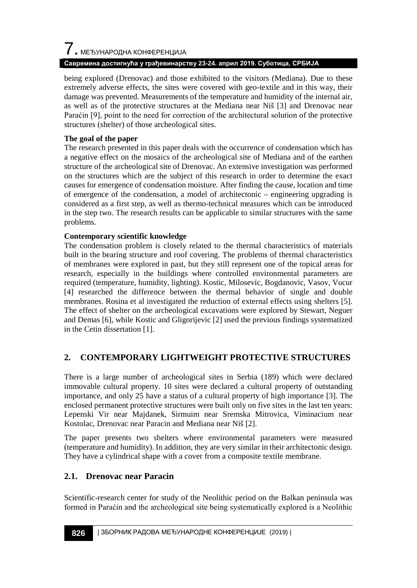# $\overline{\phantom{a}}$ . МЕЂУНАРОДНА КОНФЕРЕНЦИЈА

#### **Савремена достигнућа у грађевинарству 23-24. април 2019. Суботица, СРБИЈА**

being explored (Drenovac) and those exhibited to the visitors (Mediana). Due to these extremely adverse effects, the sites were covered with geo-textile and in this way, their damage was prevented. Measurements of the temperature and humidity of the internal air, as well as of the protective structures at the Mediana near Niš [3] and Drenovac near Paraćin [9], point to the need for correction of the architectural solution of the protective structures (shelter) of those archeological sites.

#### **The goal of the paper**

The research presented in this paper deals with the occurrence of condensation which has a negative effect on the mosaics of the archeological site of Mediana and of the earthen structure of the archeological site of Drenovac. An extensive investigation was performed on the structures which are the subject of this research in order to determine the exact causes for emergence of condensation moisture. After finding the cause, location and time of emergence of the condensation, a model of architectonic – engineering upgrading is considered as a first step, as well as thermo-technical measures which can be introduced in the step two. The research results can be applicable to similar structures with the same problems.

#### **Contemporary scientific knowledge**

The condensation problem is closely related to the thermal characteristics of materials built in the bearing structure and roof covering. The problems of thermal characteristics of membranes were explored in past, but they still represent one of the topical areas for research, especially in the buildings where controlled environmental parameters are required (temperature, humidity, lighting). Kostic, Milosevic, Bogdanovic, Vasov, Vucur [4] researched the difference between the thermal behavior of single and double membranes. Rosina et al investigated the reduction of external effects using shelters [5]. The effect of shelter on the archeological excavations were explored by Stewart, Neguer and Demas [6], while Kostic and Gligorijevic [2] used the previous findings systematized in the Cetin dissertation [1].

## **2. CONTEMPORARY LIGHTWEIGHT PROTECTIVE STRUCTURES**

There is a large number of archeological sites in Serbia (189) which were declared immovable cultural property. 10 sites were declared a cultural property of outstanding importance, and only 25 have a status of a cultural property of high importance [3]. The enclosed permanent protective structures were built only on five sites in the last ten years: Lepenski Vir near Majdanek, Sirmuim near Sremska Mitrovica, Viminacium near Kostolac, Drenovac near Paracin and Mediana near Niš [2].

The paper presents two shelters where environmental parameters were measured (temperature and humidity). In addition, they are very similar in their architectonic design. They have a cylindrical shape with a cover from a composite textile membrane.

## **2.1. Drenovac near Paracin**

Scientific-research center for study of the Neolithic period on the Balkan peninsula was formed in Paraćin and the archeological site being systematically explored is a Neolithic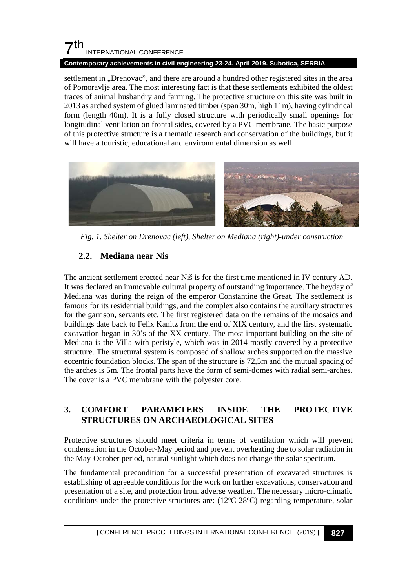#### **Contemporary achievements in civil engineering 23-24. April 2019. Subotica, SERBIA**

settlement in "Drenovac", and there are around a hundred other registered sites in the area of Pomoravlje area. The most interesting fact is that these settlements exhibited the oldest traces of animal husbandry and farming. The protective structure on this site was built in 2013 as arched system of glued laminated timber (span 30m, high 11m), having cylindrical form (length 40m). It is a fully closed structure with periodically small openings for longitudinal ventilation on frontal sides, covered by a PVC membrane. The basic purpose of this protective structure is a thematic research and conservation of the buildings, but it will have a touristic, educational and environmental dimension as well.



*Fig. 1. Shelter on Drenovac (left), Shelter on Mediana (right)-under construction*

## **2.2. Mediana near Nis**

The ancient settlement erected near Niš is for the first time mentioned in IV century AD. It was declared an immovable cultural property of outstanding importance. The heyday of Mediana was during the reign of the emperor Constantine the Great. The settlement is famous for its residential buildings, and the complex also contains the auxiliary structures for the garrison, servants etc. The first registered data on the remains of the mosaics and buildings date back to Felix Kanitz from the end of XIX century, and the first systematic excavation began in 30's of the XX century. The most important building on the site of Mediana is the Villa with peristyle, which was in 2014 mostly covered by a protective structure. The structural system is composed of shallow arches supported on the massive eccentric foundation blocks. The span of the structure is 72,5m and the mutual spacing of the arches is 5m. The frontal parts have the form of semi-domes with radial semi-arches. The cover is a PVC membrane with the polyester core.

## **3. COMFORT PARAMETERS INSIDE THE PROTECTIVE STRUCTURES ON ARCHAEOLOGICAL SITES**

Protective structures should meet criteria in terms of ventilation which will prevent condensation in the October-May period and prevent overheating due to solar radiation in the May-October period, natural sunlight which does not change the solar spectrum.

The fundamental precondition for a successful presentation of excavated structures is establishing of agreeable conditions for the work on further excavations, conservation and presentation of a site, and protection from adverse weather. The necessary micro-climatic conditions under the protective structures are:  $(12^{\circ}C - 28^{\circ}C)$  regarding temperature, solar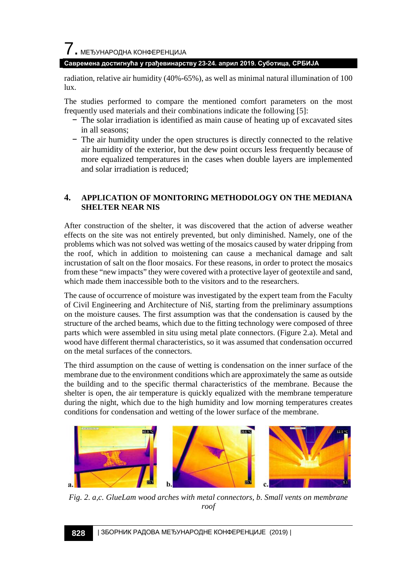#### **Савремена достигнућа у грађевинарству 23-24. април 2019. Суботица, СРБИЈА**

radiation, relative air humidity (40%-65%), as well as minimal natural illumination of 100 lux.

The studies performed to compare the mentioned comfort parameters on the most frequently used materials and their combinations indicate the following [5]:

- − The solar irradiation is identified as main cause of heating up of excavated sites in all seasons;
- − The air humidity under the open structures is directly connected to the relative air humidity of the exterior, but the dew point occurs less frequently because of more equalized temperatures in the cases when double layers are implemented and solar irradiation is reduced;

#### **4. APPLICATION OF MONITORING METHODOLOGY ON THE MEDIANA SHELTER NEAR NIS**

After construction of the shelter, it was discovered that the action of adverse weather effects on the site was not entirely prevented, but only diminished. Namely, one of the problems which was not solved was wetting of the mosaics caused by water dripping from the roof, which in addition to moistening can cause a mechanical damage and salt incrustation of salt on the floor mosaics. For these reasons, in order to protect the mosaics from these "new impacts" they were covered with a protective layer of geotextile and sand, which made them inaccessible both to the visitors and to the researchers.

The cause of occurrence of moisture was investigated by the expert team from the Faculty of Civil Engineering and Architecture of Niš, starting from the preliminary assumptions on the moisture causes. The first assumption was that the condensation is caused by the structure of the arched beams, which due to the fitting technology were composed of three parts which were assembled in situ using metal plate connectors. (Figure 2.a). Metal and wood have different thermal characteristics, so it was assumed that condensation occurred on the metal surfaces of the connectors.

The third assumption on the cause of wetting is condensation on the inner surface of the membrane due to the environment conditions which are approximately the same as outside the building and to the specific thermal characteristics of the membrane. Because the shelter is open, the air temperature is quickly equalized with the membrane temperature during the night, which due to the high humidity and low morning temperatures creates conditions for condensation and wetting of the lower surface of the membrane.



*Fig. 2. a,c. GlueLam wood arches with metal connectors, b. Small vents on membrane roof*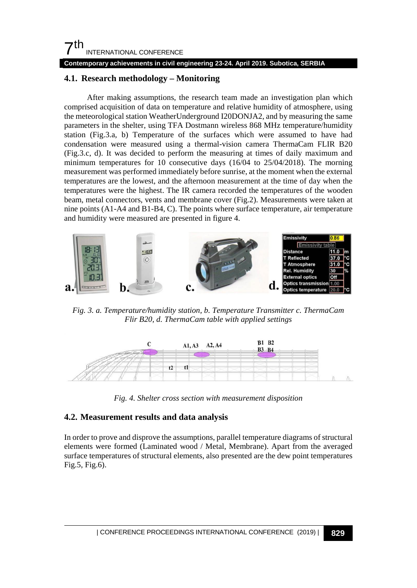#### **Contemporary achievements in civil engineering 23-24. April 2019. Subotica, SERBIA**

#### **4.1. Research methodology – Monitoring**

After making assumptions, the research team made an investigation plan which comprised acquisition of data on temperature and relative humidity of atmosphere, using the meteorological station WeatherUnderground I20DONJA2, and by measuring the same parameters in the shelter, using TFA Dostmann wireless 868 MHz temperature/humidity station (Fig.3.a, b) Temperature of the surfaces which were assumed to have had condensation were measured using a thermal-vision camera ThermaCam FLIR B20 (Fig.3.c, d). It was decided to perform the measuring at times of daily maximum and minimum temperatures for 10 consecutive days (16/04 to 25/04/2018). The morning measurement was performed immediately before sunrise, at the moment when the external temperatures are the lowest, and the afternoon measurement at the time of day when the temperatures were the highest. The IR camera recorded the temperatures of the wooden beam, metal connectors, vents and membrane cover (Fig.2). Measurements were taken at nine points (A1-A4 and B1-B4, C). The points where surface temperature, air temperature and humidity were measured are presented in figure 4.



*Fig. 3. a. Temperature/humidity station, b. Temperature Transmitter c. ThermaCam Flir B20, d. ThermaCam table with applied settings*



*Fig. 4. Shelter cross section with measurement disposition*

#### **4.2. Measurement results and data analysis**

In order to prove and disprove the assumptions, parallel temperature diagrams of structural elements were formed (Laminated wood / Metal, Membrane). Apart from the averaged surface temperatures of structural elements, also presented are the dew point temperatures Fig.5, Fig.6).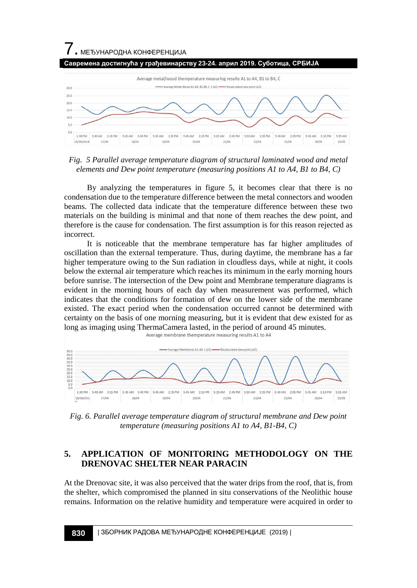

*Fig. 5 Parallel average temperature diagram of structural laminated wood and metal elements and Dew point temperature (measuring positions A1 to A4, B1 to B4, C)*

By analyzing the temperatures in figure 5, it becomes clear that there is no condensation due to the temperature difference between the metal connectors and wooden beams. The collected data indicate that the temperature difference between these two materials on the building is minimal and that none of them reaches the dew point, and therefore is the cause for condensation. The first assumption is for this reason rejected as incorrect.

It is noticeable that the membrane temperature has far higher amplitudes of oscillation than the external temperature. Thus, during daytime, the membrane has a far higher temperature owing to the Sun radiation in cloudless days, while at night, it cools below the external air temperature which reaches its minimum in the early morning hours before sunrise. The intersection of the Dew point and Membrane temperature diagrams is evident in the morning hours of each day when measurement was performed, which indicates that the conditions for formation of dew on the lower side of the membrane existed. The exact period when the condensation occurred cannot be determined with certainty on the basis of one morning measuring, but it is evident that dew existed for as long as imaging using ThermaCamera lasted, in the period of around 45 minutes.<br>Average membrane themperature measuring results A1 to A4



*Fig. 6. Parallel average temperature diagram of structural membrane and Dew point temperature (measuring positions A1 to A4, B1-B4, C)*

#### **5. APPLICATION OF MONITORING METHODOLOGY ON THE DRENOVAC SHELTER NEAR PARACIN**

At the Drenovac site, it was also perceived that the water drips from the roof, that is, from the shelter, which compromised the planned in situ conservations of the Neolithic house remains. Information on the relative humidity and temperature were acquired in order to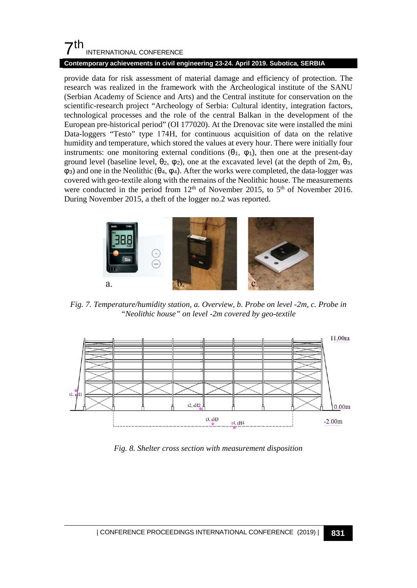#### **Contemporary achievements in civil engineering 23-24. April 2019. Subotica, SERBIA**

provide data for risk assessment of material damage and efficiency of protection. The research was realized in the framework with the Archeological institute of the SANU (Serbian Academy of Science and Arts) and the Central institute for conservation on the scientific-research project "Archeology of Serbia: Cultural identity, integration factors, technological processes and the role of the central Balkan in the development of the European pre-historical period" (OI 177020). At the Drenovac site were installed the mini Data-loggers "Testo" type 174Н, for continuous acquisition of data on the relative humidity and temperature, which stored the values at every hour. There were initially four instruments: one monitoring external conditions  $(\theta_1, \varphi_1)$ , then one at the present-day ground level (baseline level,  $\theta_2$ ,  $\varphi_2$ ), one at the excavated level (at the depth of 2m,  $\theta_3$ , φ3) and one in the Neolithic (θ4, φ4). After the works were completed, the data-logger was covered with geo-textile along with the remains of the Neolithic house. The measurements were conducted in the period from  $12<sup>th</sup>$  of November 2015, to  $5<sup>th</sup>$  of November 2016. During November 2015, a theft of the logger no.2 was reported.



*Fig. 7. Temperature/humidity station, a. Overview, b. Probe on level -2m, c. Probe in "Neolithic house" on level -2m covered by geo-textile*



*Fig. 8. Shelter cross section with measurement disposition*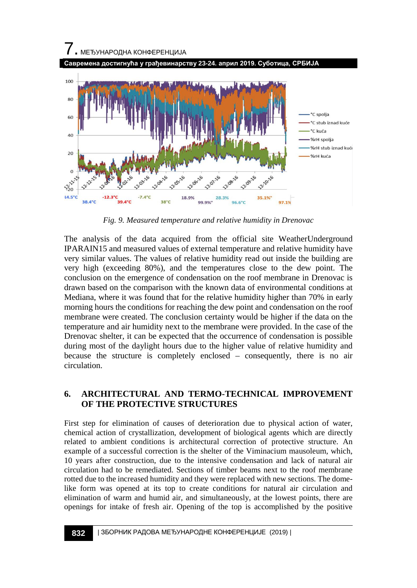

*Fig. 9. Measured temperature and relative humidity in Drenovac*

The analysis of the data acquired from the official site WeatherUnderground IPARAIN15 and measured values of external temperature and relative humidity have very similar values. The values of relative humidity read out inside the building are very high (exceeding 80%), and the temperatures close to the dew point. The conclusion on the emergence of condensation on the roof membrane in Drenovac is drawn based on the comparison with the known data of environmental conditions at Mediana, where it was found that for the relative humidity higher than 70% in early morning hours the conditions for reaching the dew point and condensation on the roof membrane were created. The conclusion certainty would be higher if the data on the temperature and air humidity next to the membrane were provided. In the case of the Drenovac shelter, it can be expected that the occurrence of condensation is possible during most of the daylight hours due to the higher value of relative humidity and because the structure is completely enclosed – consequently, there is no air circulation.

## **6. ARCHITECTURAL AND TERMO-TECHNICAL IMPROVEMENT OF THE PROTECTIVE STRUCTURES**

First step for elimination of causes of deterioration due to physical action of water, chemical action of crystallization, development of biological agents which are directly related to ambient conditions is architectural correction of protective structure. An example of a successful correction is the shelter of the Viminacium mausoleum, which, 10 years after construction, due to the intensive condensation and lack of natural air circulation had to be remediated. Sections of timber beams next to the roof membrane rotted due to the increased humidity and they were replaced with new sections. The domelike form was opened at its top to create conditions for natural air circulation and elimination of warm and humid air, and simultaneously, at the lowest points, there are openings for intake of fresh air. Opening of the top is accomplished by the positive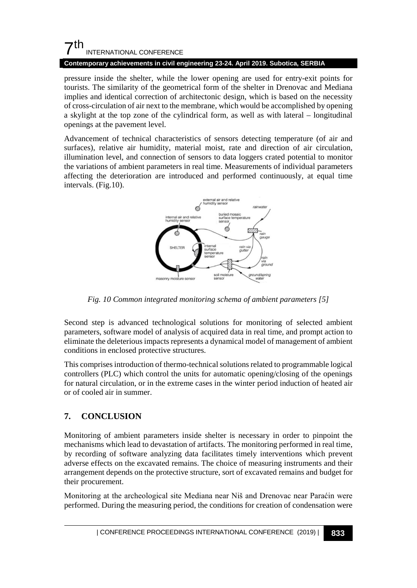#### **Contemporary achievements in civil engineering 23-24. April 2019. Subotica, SERBIA**

pressure inside the shelter, while the lower opening are used for entry-exit points for tourists. The similarity of the geometrical form of the shelter in Drenovac and Mediana implies and identical correction of architectonic design, which is based on the necessity of cross-circulation of air next to the membrane, which would be accomplished by opening a skylight at the top zone of the cylindrical form, as well as with lateral – longitudinal openings at the pavement level.

Advancement of technical characteristics of sensors detecting temperature (of air and surfaces), relative air humidity, material moist, rate and direction of air circulation, illumination level, and connection of sensors to data loggers crated potential to monitor the variations of ambient parameters in real time. Measurements of individual parameters affecting the deterioration are introduced and performed continuously, at equal time intervals. (Fig.10).



*Fig. 10 Common integrated monitoring schema of ambient parameters [5]*

Second step is advanced technological solutions for monitoring of selected ambient parameters, software model of analysis of acquired data in real time, and prompt action to eliminate the deleterious impacts represents a dynamical model of management of ambient conditions in enclosed protective structures.

This comprises introduction of thermo-technical solutions related to programmable logical controllers (PLC) which control the units for automatic opening/closing of the openings for natural circulation, or in the extreme cases in the winter period induction of heated air or of cooled air in summer.

## **7. CONCLUSION**

Monitoring of ambient parameters inside shelter is necessary in order to pinpoint the mechanisms which lead to devastation of artifacts. The monitoring performed in real time, by recording of software analyzing data facilitates timely interventions which prevent adverse effects on the excavated remains. The choice of measuring instruments and their arrangement depends on the protective structure, sort of excavated remains and budget for their procurement.

Monitoring at the archeological site Mediana near Niš and Drenovac near Paraćin were performed. During the measuring period, the conditions for creation of condensation were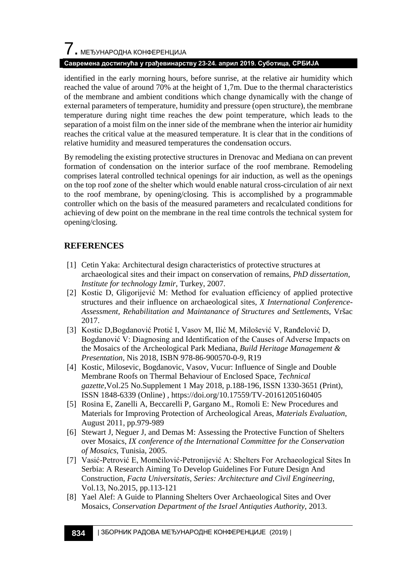#### **Савремена достигнућа у грађевинарству 23-24. април 2019. Суботица, СРБИЈА**

identified in the early morning hours, before sunrise, at the relative air humidity which reached the value of around 70% at the height of 1,7m. Due to the thermal characteristics of the membrane and ambient conditions which change dynamically with the change of external parameters of temperature, humidity and pressure (open structure), the membrane temperature during night time reaches the dew point temperature, which leads to the separation of a moist film on the inner side of the membrane when the interior air humidity reaches the critical value at the measured temperature. It is clear that in the conditions of relative humidity and measured temperatures the condensation occurs.

By remodeling the existing protective structures in Drenovac and Mediana on can prevent formation of condensation on the interior surface of the roof membrane. Remodeling comprises lateral controlled technical openings for air induction, as well as the openings on the top roof zone of the shelter which would enable natural cross-circulation of air next to the roof membrane, by opening/closing. This is accomplished by a programmable controller which on the basis of the measured parameters and recalculated conditions for achieving of dew point on the membrane in the real time controls the technical system for opening/closing.

#### **REFERENCES**

- [1] Cetin Yaka: Architectural design characteristics of protective structures at archaeological sites and their impact on conservation of remains, *PhD dissertation, Institute for technology Izmir*, Turkey, 2007.
- [2] Kostic D, Gligorijević M: Method for evaluation efficiency of applied protective structures and their influence on archaeological sites, *X International Conference-Assessment, Rehabilitation and Maintanance of Structures and Settlements*, Vršac 2017.
- [3] Kostic D,Bogdanović Protić I, Vasov M, Ilić M, Milošević V, Ranđelović D, Bogdanović V: Diagnosing and Identification of the Causes of Adverse Impacts on the Mosaics of the Archeological Park Mediana, *Build Heritage Management & Presentation*, Nis 2018, ISBN 978-86-900570-0-9, R19
- [4] Kostic, Milosevic, Bogdanovic, Vasov, Vucur: Influence of Single and Double Membrane Roofs on Thermal Behaviour of Enclosed Space, *[Technical](https://hrcak.srce.hr/tehnicki-vjesnik)  [gazette](https://hrcak.srce.hr/tehnicki-vjesnik)*[,Vol.25 No.Supplement](https://hrcak.srce.hr/index.php?show=toc&id_broj=16147) 1 May 2018, p.188-196, ISSN 1330-3651 (Print), ISSN 1848-6339 (Online) ,<https://doi.org/10.17559/TV-20161205160405>
- [5] Rosina E, Zanelli A, Beccarelli P, Gargano M., Romoli E: New Procedures and Materials for Improving Protection of Archeological Areas, *Materials Evaluation*, August 2011, pp.979-989
- [6] Stewart J, Neguer J, and Demas M: Assessing the Protective Function of Shelters over Mosaics, *IX conference of the International Committee for the Conservation of Mosaics*, Tunisia, 2005.
- [7] Vasić-Petrović E, Momčilović-Petronijević A: Shelters For Archaeological Sites In Serbia: A Research Aiming To Develop Guidelines For Future Design And Construction, *Facta Universitatis, Series: Architecture and Civil Engineering*, Vol.13, No.2015, pp.113-121
- [8] Yael Alef: A Guide to Planning Shelters Over Archaeological Sites and Over Mosaics, *Conservation Department of the Israel Antiquties Authority*, 2013.